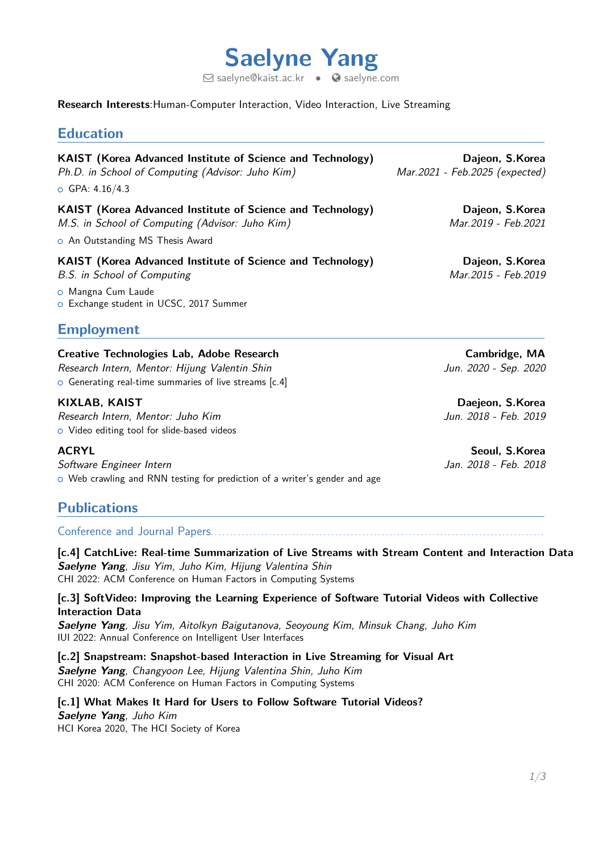

 $\boxdot$  [saelyne@kaist.ac.kr](mailto:saelyne@kaist.ac.kr)  $\bullet$   $\odot$  [saelyne.com](http://saelyne.com)

#### **Research Interests**:Human-Computer Interaction, Video Interaction, Live Streaming

| <b>Education</b>                                                                                                                                         |                                                   |  |
|----------------------------------------------------------------------------------------------------------------------------------------------------------|---------------------------------------------------|--|
| KAIST (Korea Advanced Institute of Science and Technology)<br>Ph.D. in School of Computing (Advisor: Juho Kim)<br>o GPA: $4.16/4.3$                      | Dajeon, S.Korea<br>Mar.2021 - Feb.2025 (expected) |  |
| <b>KAIST</b> (Korea Advanced Institute of Science and Technology)<br>M.S. in School of Computing (Advisor: Juho Kim)<br>o An Outstanding MS Thesis Award | Dajeon, S.Korea<br>Mar.2019 - Feb.2021            |  |
| <b>KAIST</b> (Korea Advanced Institute of Science and Technology)<br>B.S. in School of Computing                                                         | Dajeon, S.Korea<br>Mar.2015 - Feb.2019            |  |
| o Mangna Cum Laude<br>o Exchange student in UCSC, 2017 Summer                                                                                            |                                                   |  |
| <b>Employment</b>                                                                                                                                        |                                                   |  |
| <b>Creative Technologies Lab, Adobe Research</b><br>Research Intern Mentor Hijung Valentin Shin                                                          | Cambridge, MA<br>Jun 2020 - Sen 2020              |  |

Research Intern, Mentor: Hijung Valentin Shin Jun. 2020 - Sep. 2020  $\circ$  Generating real-time summaries of live streams [c.4]

Research Intern, Mentor: Juho Kim Jun. 2018 - Feb. 2019 o Video editing tool for slide-based videos

Software Engineer Intern **Software Engineer** Intern **Jan.** 2018 - Feb. 2018 o Web crawling and RNN testing for prediction of a writer's gender and age

## **Publications**

Conference and Journal Papers. . . . . . . . . . . . . . . . . . . . . . . . . . . . . . . . . . . . . . . . . . . . . . . . . . . . . . . . . . . . . . . . . . . . . . . . . . . . . . . . . . . . . .

**[c.4] CatchLive: Real-time Summarization of Live Streams with Stream Content and Interaction Data Saelyne Yang**, Jisu Yim, Juho Kim, Hijung Valentina Shin CHI 2022: ACM Conference on Human Factors in Computing Systems

### **[c.3] SoftVideo: Improving the Learning Experience of Software Tutorial Videos with Collective Interaction Data**

**Saelyne Yang**, Jisu Yim, Aitolkyn Baigutanova, Seoyoung Kim, Minsuk Chang, Juho Kim IUI 2022: Annual Conference on Intelligent User Interfaces

**[c.2] Snapstream: Snapshot-based Interaction in Live Streaming for Visual Art Saelyne Yang**, Changyoon Lee, Hijung Valentina Shin, Juho Kim CHI 2020: ACM Conference on Human Factors in Computing Systems

**[c.1] What Makes It Hard for Users to Follow Software Tutorial Videos? Saelyne Yang**, Juho Kim HCI Korea 2020, The HCI Society of Korea

**KIXLAB, KAIST Daejeon, S.Korea**

**ACRYL Seoul, S.Korea**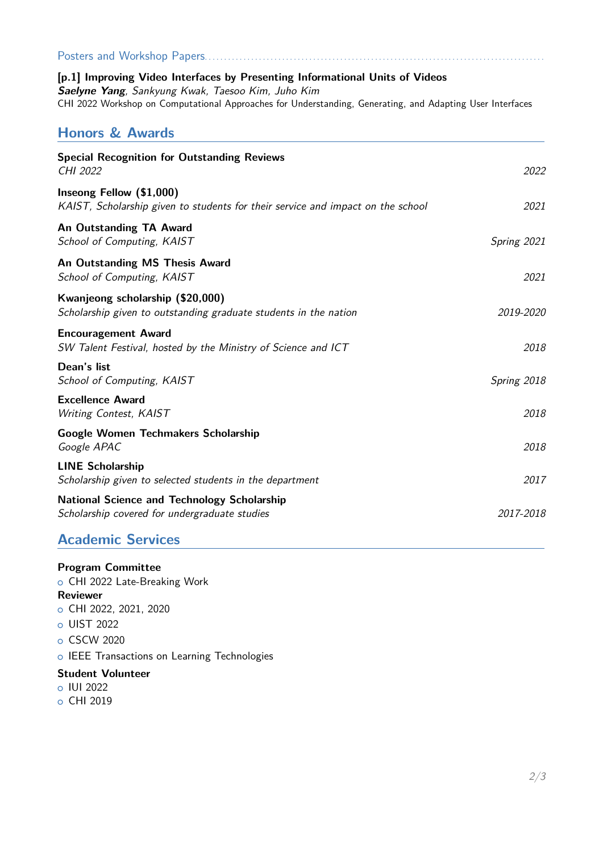| Posters and Workshop Papers.                                                                                                                                                                                                                                                 |             |  |
|------------------------------------------------------------------------------------------------------------------------------------------------------------------------------------------------------------------------------------------------------------------------------|-------------|--|
| [p.1] Improving Video Interfaces by Presenting Informational Units of Videos<br>Saelyne Yang, Sankyung Kwak, Taesoo Kim, Juho Kim<br>CHI 2022 Workshop on Computational Approaches for Understanding, Generating, and Adapting User Interfaces<br><b>Honors &amp; Awards</b> |             |  |
|                                                                                                                                                                                                                                                                              |             |  |
| Inseong Fellow (\$1,000)<br>KAIST, Scholarship given to students for their service and impact on the school                                                                                                                                                                  | 2021        |  |
| An Outstanding TA Award<br>School of Computing, KAIST                                                                                                                                                                                                                        | Spring 2021 |  |
| An Outstanding MS Thesis Award<br>School of Computing, KAIST                                                                                                                                                                                                                 | 2021        |  |
| Kwanjeong scholarship (\$20,000)<br>Scholarship given to outstanding graduate students in the nation                                                                                                                                                                         | 2019-2020   |  |
| <b>Encouragement Award</b><br>SW Talent Festival, hosted by the Ministry of Science and ICT                                                                                                                                                                                  | 2018        |  |
| Dean's list<br>School of Computing, KAIST                                                                                                                                                                                                                                    | Spring 2018 |  |
| <b>Excellence Award</b><br>Writing Contest, KAIST                                                                                                                                                                                                                            | 2018        |  |
| Google Women Techmakers Scholarship<br>Google APAC                                                                                                                                                                                                                           | 2018        |  |
| <b>LINE Scholarship</b><br>Scholarship given to selected students in the department                                                                                                                                                                                          | 2017        |  |
| <b>National Science and Technology Scholarship</b><br>Scholarship covered for undergraduate studies                                                                                                                                                                          | 2017-2018   |  |
| <b>Academic Services</b>                                                                                                                                                                                                                                                     |             |  |

# **Program Committee**

o CHI 2022 Late-Breaking Work **Reviewer** o CHI 2022, 2021, 2020 o UIST 2022 o CSCW 2020 o IEEE Transactions on Learning Technologies

### **Student Volunteer**

- o IUI 2022
- o CHI 2019